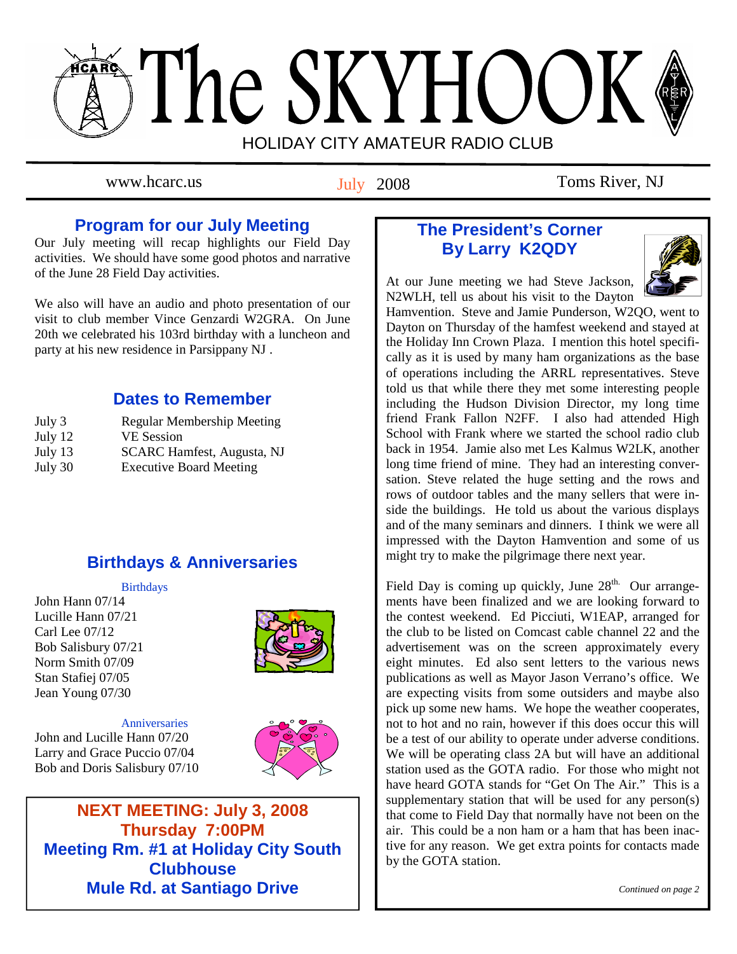# The SKYHOOK HOLIDAY CITY AMATEUR RADIO CLUB

July 2008

www.hcarc.us Toms River, NJ

# **Program for our July Meeting**

Our July meeting will recap highlights our Field Day activities. We should have some good photos and narrative of the June 28 Field Day activities.

We also will have an audio and photo presentation of our visit to club member Vince Genzardi W2GRA. On June 20th we celebrated his 103rd birthday with a luncheon and party at his new residence in Parsippany NJ .

# **Dates to Remember**

| July 3  | <b>Regular Membership Meeting</b> |
|---------|-----------------------------------|
| July 12 | <b>VE</b> Session                 |
| July 13 | <b>SCARC Hamfest, Augusta, NJ</b> |
| July 30 | <b>Executive Board Meeting</b>    |

# **Birthdays & Anniversaries**

#### Birthdays

John Hann 07/14 Lucille Hann 07/21 Carl Lee 07/12 Bob Salisbury 07/21 Norm Smith 07/09 Stan Stafiej 07/05 Jean Young 07/30



 Anniversaries John and Lucille Hann 07/20 Larry and Grace Puccio 07/04 Bob and Doris Salisbury 07/10



**NEXT MEETING: July 3, 2008 Thursday 7:00PM Meeting Rm. #1 at Holiday City South Clubhouse Mule Rd. at Santiago Drive** 

# **The President's Corner By Larry K2QDY**



At our June meeting we had Steve Jackson, N2WLH, tell us about his visit to the Dayton

Hamvention. Steve and Jamie Punderson, W2QO, went to Dayton on Thursday of the hamfest weekend and stayed at the Holiday Inn Crown Plaza. I mention this hotel specifically as it is used by many ham organizations as the base of operations including the ARRL representatives. Steve told us that while there they met some interesting people including the Hudson Division Director, my long time friend Frank Fallon N2FF. I also had attended High School with Frank where we started the school radio club back in 1954. Jamie also met Les Kalmus W2LK, another long time friend of mine. They had an interesting conversation. Steve related the huge setting and the rows and rows of outdoor tables and the many sellers that were inside the buildings. He told us about the various displays and of the many seminars and dinners. I think we were all impressed with the Dayton Hamvention and some of us might try to make the pilgrimage there next year.

Field Day is coming up quickly, June 28<sup>th.</sup> Our arrangements have been finalized and we are looking forward to the contest weekend. Ed Picciuti, W1EAP, arranged for the club to be listed on Comcast cable channel 22 and the advertisement was on the screen approximately every eight minutes. Ed also sent letters to the various news publications as well as Mayor Jason Verrano's office. We are expecting visits from some outsiders and maybe also pick up some new hams. We hope the weather cooperates, not to hot and no rain, however if this does occur this will be a test of our ability to operate under adverse conditions. We will be operating class 2A but will have an additional station used as the GOTA radio. For those who might not have heard GOTA stands for "Get On The Air." This is a supplementary station that will be used for any person(s) that come to Field Day that normally have not been on the air. This could be a non ham or a ham that has been inactive for any reason. We get extra points for contacts made by the GOTA station.

 *Continued on page 2*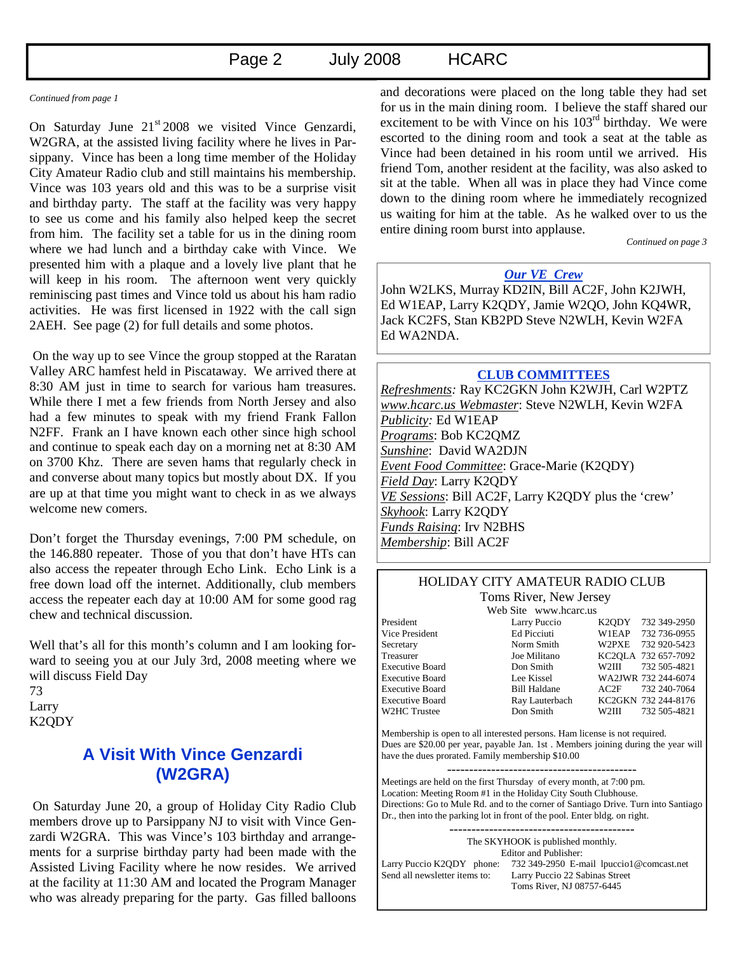# Page 2 July 2008 HCARC

#### *Continued from page 1*

On Saturday June  $21<sup>st</sup> 2008$  we visited Vince Genzardi, W2GRA, at the assisted living facility where he lives in Parsippany. Vince has been a long time member of the Holiday City Amateur Radio club and still maintains his membership. Vince was 103 years old and this was to be a surprise visit and birthday party. The staff at the facility was very happy to see us come and his family also helped keep the secret from him. The facility set a table for us in the dining room where we had lunch and a birthday cake with Vince. We presented him with a plaque and a lovely live plant that he will keep in his room. The afternoon went very quickly reminiscing past times and Vince told us about his ham radio activities. He was first licensed in 1922 with the call sign 2AEH. See page (2) for full details and some photos.

 On the way up to see Vince the group stopped at the Raratan Valley ARC hamfest held in Piscataway. We arrived there at 8:30 AM just in time to search for various ham treasures. While there I met a few friends from North Jersey and also had a few minutes to speak with my friend Frank Fallon N2FF. Frank an I have known each other since high school and continue to speak each day on a morning net at 8:30 AM on 3700 Khz. There are seven hams that regularly check in and converse about many topics but mostly about DX. If you are up at that time you might want to check in as we always welcome new comers.

Don't forget the Thursday evenings, 7:00 PM schedule, on the 146.880 repeater. Those of you that don't have HTs can also access the repeater through Echo Link. Echo Link is a free down load off the internet. Additionally, club members access the repeater each day at 10:00 AM for some good rag chew and technical discussion.

Well that's all for this month's column and I am looking forward to seeing you at our July 3rd, 2008 meeting where we will discuss Field Day 73 Larry K2QDY

# **A Visit With Vince Genzardi (W2GRA)**

 On Saturday June 20, a group of Holiday City Radio Club members drove up to Parsippany NJ to visit with Vince Genzardi W2GRA. This was Vince's 103 birthday and arrangements for a surprise birthday party had been made with the Assisted Living Facility where he now resides. We arrived at the facility at 11:30 AM and located the Program Manager who was already preparing for the party. Gas filled balloons and decorations were placed on the long table they had set for us in the main dining room. I believe the staff shared our excitement to be with Vince on his 103<sup>rd</sup> birthday. We were escorted to the dining room and took a seat at the table as Vince had been detained in his room until we arrived. His friend Tom, another resident at the facility, was also asked to sit at the table. When all was in place they had Vince come down to the dining room where he immediately recognized us waiting for him at the table. As he walked over to us the entire dining room burst into applause.

*Continued on page 3* 

### *Our VE Crew*

John W2LKS, Murray KD2IN, Bill AC2F, John K2JWH, Ed W1EAP, Larry K2QDY, Jamie W2QO, John KQ4WR, Jack KC2FS, Stan KB2PD Steve N2WLH, Kevin W2FA Ed WA2NDA.

#### **CLUB COMMITTEES**

*Refreshments:* Ray KC2GKN John K2WJH, Carl W2PTZ *www.hcarc.us Webmaster*: Steve N2WLH, Kevin W2FA *Publicity:* Ed W1EAP *Programs*: Bob KC2QMZ *Sunshine*: David WA2DJN *Event Food Committee*: Grace-Marie (K2QDY) *Field Day*: Larry K2QDY *VE Sessions*: Bill AC2F, Larry K2QDY plus the 'crew' *Skyhook*: Larry K2QDY *Funds Raising*: Irv N2BHS *Membership*: Bill AC2F

#### HOLIDAY CITY AMATEUR RADIO CLUB Toms River, New Jersey

Web Site www.hcarc.us

President Larry Puccio K2QDY 732 349-2950 Vice President Ed Picciuti W1EAP 732 736-0955 Secretary Norm Smith W2PXE 732 920-5423 Treasurer Joe Militano KC2QLA 732 657-7092 Executive Board Don Smith W2III 732 505-4821 Executive Board Lee Kissel WA2JWR 732 244-6074 Executive Board Bill Haldane AC2F 732 240-7064 Executive Board Ray Lauterbach KC2GKN 732 244-8176 W2HC Trustee Don Smith W2III 732 505-4821

Membership is open to all interested persons. Ham license is not required. Dues are \$20.00 per year, payable Jan. 1st . Members joining during the year will have the dues prorated. Family membership \$10.00

Meetings are held on the first Thursday of every month, at 7:00 pm. Location: Meeting Room #1 in the Holiday City South Clubhouse. Directions: Go to Mule Rd. and to the corner of Santiago Drive. Turn into Santiago Dr., then into the parking lot in front of the pool. Enter bldg. on right.

------------------------------------------ The SKYHOOK is published monthly. Editor and Publisher: Larry Puccio K2QDY phone: 732 349-2950 E-mail lpuccio1@comcast.net<br>Send all newsletter items to: Larry Puccio 22 Sabinas Street Larry Puccio 22 Sabinas Street Toms River, NJ 08757-6445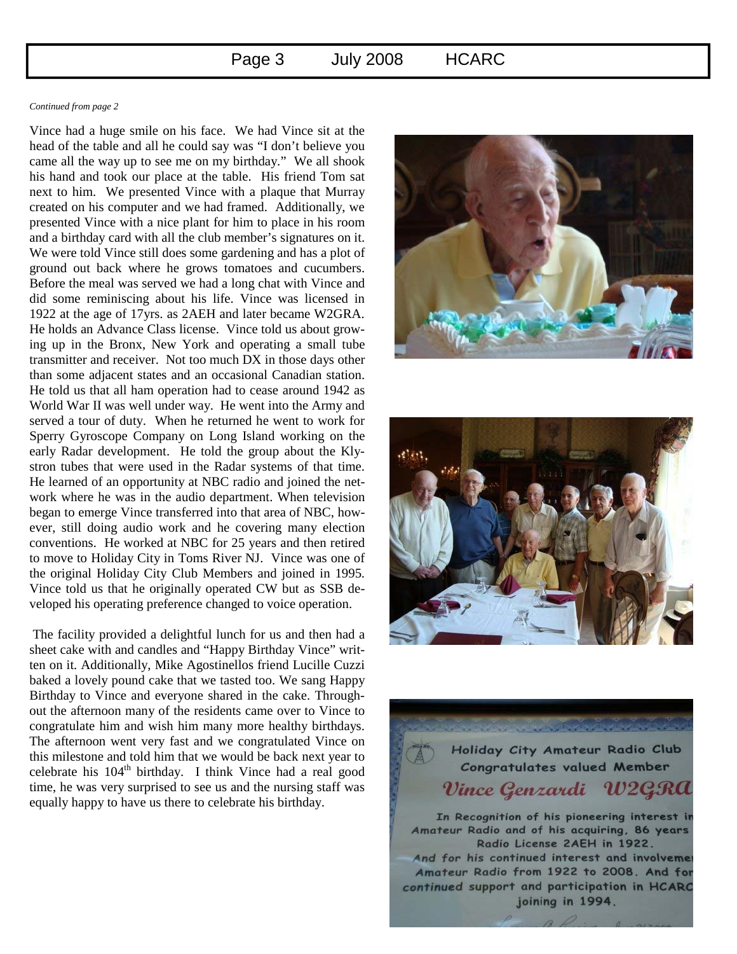#### *Continued from page 2*

Vince had a huge smile on his face. We had Vince sit at the head of the table and all he could say was "I don't believe you came all the way up to see me on my birthday." We all shook his hand and took our place at the table. His friend Tom sat next to him. We presented Vince with a plaque that Murray created on his computer and we had framed. Additionally, we presented Vince with a nice plant for him to place in his room and a birthday card with all the club member's signatures on it. We were told Vince still does some gardening and has a plot of ground out back where he grows tomatoes and cucumbers. Before the meal was served we had a long chat with Vince and did some reminiscing about his life. Vince was licensed in 1922 at the age of 17yrs. as 2AEH and later became W2GRA. He holds an Advance Class license. Vince told us about growing up in the Bronx, New York and operating a small tube transmitter and receiver. Not too much DX in those days other than some adjacent states and an occasional Canadian station. He told us that all ham operation had to cease around 1942 as World War II was well under way. He went into the Army and served a tour of duty. When he returned he went to work for Sperry Gyroscope Company on Long Island working on the early Radar development. He told the group about the Klystron tubes that were used in the Radar systems of that time. He learned of an opportunity at NBC radio and joined the network where he was in the audio department. When television began to emerge Vince transferred into that area of NBC, however, still doing audio work and he covering many election conventions. He worked at NBC for 25 years and then retired to move to Holiday City in Toms River NJ. Vince was one of the original Holiday City Club Members and joined in 1995. Vince told us that he originally operated CW but as SSB developed his operating preference changed to voice operation.

 The facility provided a delightful lunch for us and then had a sheet cake with and candles and "Happy Birthday Vince" written on it. Additionally, Mike Agostinellos friend Lucille Cuzzi baked a lovely pound cake that we tasted too. We sang Happy Birthday to Vince and everyone shared in the cake. Throughout the afternoon many of the residents came over to Vince to congratulate him and wish him many more healthy birthdays. The afternoon went very fast and we congratulated Vince on this milestone and told him that we would be back next year to celebrate his  $104<sup>th</sup>$  birthday. I think Vince had a real good time, he was very surprised to see us and the nursing staff was equally happy to have us there to celebrate his birthday.





Holiday City Amateur Radio Club **Congratulates valued Member** Vince Genzardi W2

In Recognition of his pioneering interest in Amateur Radio and of his acquiring, 86 years Radio License 2AEH in 1922. And for his continued interest and involvement Amateur Radio from 1922 to 2008. And for continued support and participation in HCARC joining in 1994.